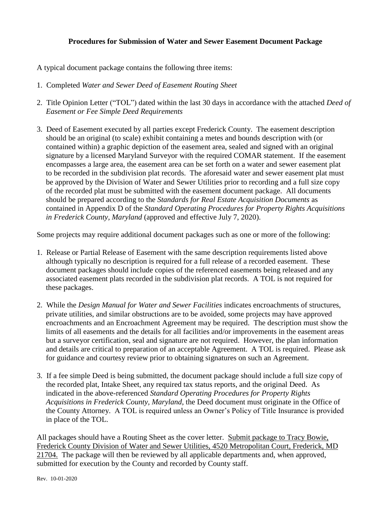## **Procedures for Submission of Water and Sewer Easement Document Package**

A typical document package contains the following three items:

- 1. Completed *Water and Sewer Deed of Easement Routing Sheet*
- 2. Title Opinion Letter ("TOL") dated within the last 30 days in accordance with the attached *Deed of Easement or Fee Simple Deed Requirements*
- 3. Deed of Easement executed by all parties except Frederick County. The easement description should be an original (to scale) exhibit containing a metes and bounds description with (or contained within) a graphic depiction of the easement area, sealed and signed with an original signature by a licensed Maryland Surveyor with the required COMAR statement. If the easement encompasses a large area, the easement area can be set forth on a water and sewer easement plat to be recorded in the subdivision plat records. The aforesaid water and sewer easement plat must be approved by the Division of Water and Sewer Utilities prior to recording and a full size copy of the recorded plat must be submitted with the easement document package. All documents should be prepared according to the *Standards for Real Estate Acquisition Documents* as contained in Appendix D of the *Standard Operating Procedures for Property Rights Acquisitions in Frederick County, Maryland* (approved and effective July 7, 2020).

Some projects may require additional document packages such as one or more of the following:

- 1. Release or Partial Release of Easement with the same description requirements listed above although typically no description is required for a full release of a recorded easement. These document packages should include copies of the referenced easements being released and any associated easement plats recorded in the subdivision plat records. A TOL is not required for these packages.
- 2. While the *Design Manual for Water and Sewer Facilities* indicates encroachments of structures, private utilities, and similar obstructions are to be avoided, some projects may have approved encroachments and an Encroachment Agreement may be required. The description must show the limits of all easements and the details for all facilities and/or improvements in the easement areas but a surveyor certification, seal and signature are not required. However, the plan information and details are critical to preparation of an acceptable Agreement. A TOL is required. Please ask for guidance and courtesy review prior to obtaining signatures on such an Agreement.
- 3. If a fee simple Deed is being submitted, the document package should include a full size copy of the recorded plat, Intake Sheet, any required tax status reports, and the original Deed. As indicated in the above-referenced *Standard Operating Procedures for Property Rights Acquisitions in Frederick County, Maryland*, the Deed document must originate in the Office of the County Attorney. A TOL is required unless an Owner's Policy of Title Insurance is provided in place of the TOL.

All packages should have a Routing Sheet as the cover letter. Submit package to Tracy Bowie, Frederick County Division of Water and Sewer Utilities, 4520 Metropolitan Court, Frederick, MD 21704. The package will then be reviewed by all applicable departments and, when approved, submitted for execution by the County and recorded by County staff.